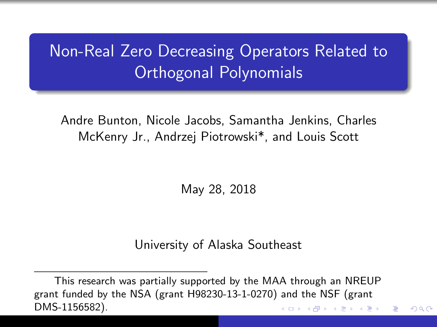# <span id="page-0-0"></span>Non-Real Zero Decreasing Operators Related to Orthogonal Polynomials

Andre Bunton, Nicole Jacobs, Samantha Jenkins, Charles McKenry Jr., Andrzej Piotrowski\*, and Louis Scott

May 28, 2018

#### University of Alaska Southeast

つくい

This research was partially supported by the MAA through an NREUP grant funded by the NSA (grant H98230-13-1-0270) and the NSF (grant DMS-1156582).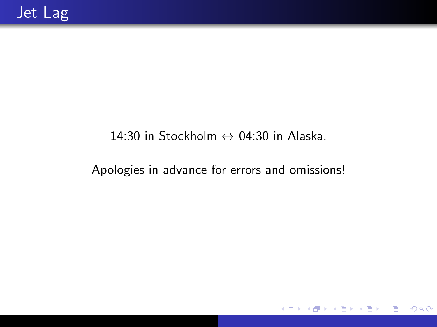#### 14:30 in Stockholm  $\leftrightarrow$  04:30 in Alaska.

#### Apologies in advance for errors and omissions!

 $\leftarrow$   $\Box$   $\rightarrow$ 

 $299$ 

э

э

 $\rightarrow$ 

3 年  $\rightarrow$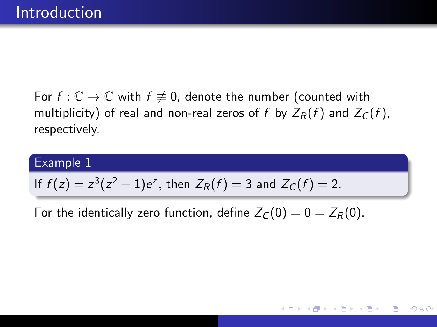For  $f: \mathbb{C} \to \mathbb{C}$  with  $f \not\equiv 0$ , denote the number (counted with multiplicity) of real and non-real zeros of f by  $Z_R(f)$  and  $Z_C(f)$ , respectively.

#### Example 1

If 
$$
f(z) = z^3(z^2 + 1)e^z
$$
, then  $Z_R(f) = 3$  and  $Z_C(f) = 2$ .

For the identically zero function, define  $Z_C(0) = 0 = Z_R(0)$ .

 $200$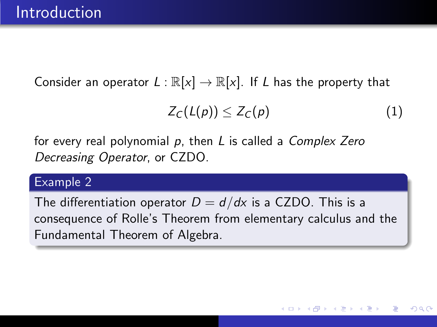Consider an operator  $L : \mathbb{R}[x] \to \mathbb{R}[x]$ . If L has the property that

$$
Z_C(L(p))\leq Z_C(p) \qquad \qquad (1)
$$

for every real polynomial  $p$ , then  $L$  is called a Complex Zero Decreasing Operator, or CZDO.

#### Example 2

The differentiation operator  $D = d/dx$  is a CZDO. This is a consequence of Rolle's Theorem from elementary calculus and the Fundamental Theorem of Algebra.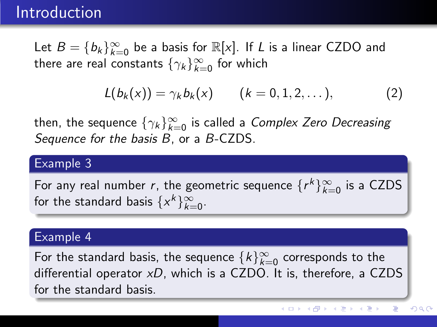### Introduction

Let  $B = \{b_k\}_{k=0}^{\infty}$  be a basis for  $\mathbb{R}[x]$ . If L is a linear CZDO and there are real constants  $\{\gamma_k\}_{k=0}^\infty$  for which

$$
L(b_k(x)) = \gamma_k b_k(x) \qquad (k = 0, 1, 2, ...),
$$
 (2)

then, the sequence  $\{\gamma_k\}_{k=0}^\infty$  is called a *Complex Zero Decreasing* Sequence for the basis B, or a B-CZDS.

#### Example 3

For any real number r, the geometric sequence  $\{r^k\}_{k=0}^{\infty}$  is a CZDS for the standard basis  $\{x^k\}_{k=0}^\infty$ .

#### Example 4

For the standard basis, the sequence  $\{k\}_{k=0}^\infty$  corresponds to the differential operator  $xD$ , which is a CZDO. It is, therefore, a CZDS for the standard basis.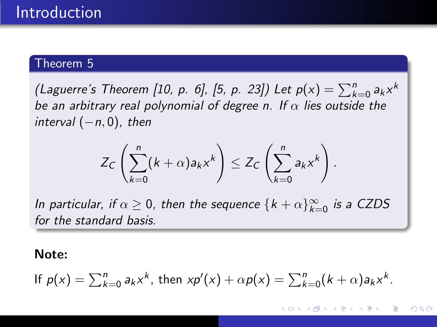#### Theorem 5

(Laguerre's Theorem [\[10,](#page-45-0) p. 6], [\[5,](#page-44-0) p. 23]) Let  $p(x) = \sum_{k=0}^{n} a_k x^k$ be an arbitrary real polynomial of degree n. If  $\alpha$  lies outside the  $interval (-n, 0)$ , then

$$
Z_C\left(\sum_{k=0}^n (k+\alpha)a_kx^k\right)\leq Z_C\left(\sum_{k=0}^n a_kx^k\right).
$$

In particular, if  $\alpha \geq 0$ , then the sequence  $\{k+\alpha\}_{k=0}^\infty$  is a CZDS for the standard basis.

#### Note:

If 
$$
p(x) = \sum_{k=0}^{n} a_k x^k
$$
, then  $xp'(x) + \alpha p(x) = \sum_{k=0}^{n} (k + \alpha) a_k x^k$ .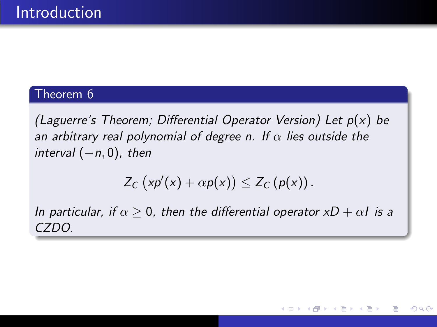#### Theorem 6

(Laguerre's Theorem; Differential Operator Version) Let  $p(x)$  be an arbitrary real polynomial of degree n. If  $\alpha$  lies outside the interval  $(-n, 0)$ , then

$$
Z_C\left(xp'(x)+\alpha p(x)\right)\leq Z_C\left(p(x)\right).
$$

In particular, if  $\alpha \geq 0$ , then the differential operator  $xD + \alpha I$  is a CZDO.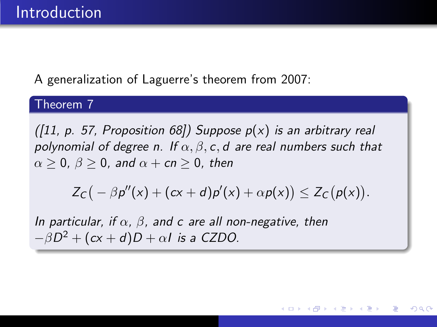A generalization of Laguerre's theorem from 2007:

#### Theorem 7

([\[11,](#page-45-1) p. 57, Proposition 68]) Suppose  $p(x)$  is an arbitrary real polynomial of degree n. If  $\alpha$ ,  $\beta$ , c, d are real numbers such that  $\alpha > 0$ ,  $\beta > 0$ , and  $\alpha + cn > 0$ , then

$$
Z_C(-\beta p''(x) + (cx + d)p'(x) + \alpha p(x)) \leq Z_C(p(x)).
$$

In particular, if  $\alpha$ ,  $\beta$ , and c are all non-negative, then  $-\beta D^2 + (c\mathsf{x} + d)D + \alpha I$  is a CZDO.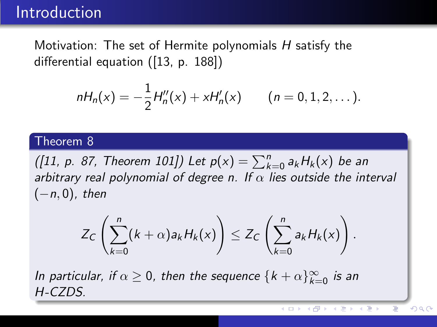### <span id="page-8-0"></span>Introduction

Motivation: The set of Hermite polynomials H satisfy the differential equation ([\[13,](#page-45-2) p. 188])

$$
nH_n(x) = -\frac{1}{2}H''_n(x) + xH'_n(x) \qquad (n = 0, 1, 2, ...).
$$

#### Theorem 8

([\[11,](#page-45-1) p. 87, Theorem 101]) Let  $p(x) = \sum_{k=0}^{n} a_k H_k(x)$  be an arbitrary real polynomial of degree n. If  $\alpha$  lies outside the interval  $(-n, 0)$ , then

$$
Z_C\left(\sum_{k=0}^n (k+\alpha)a_kH_k(x)\right)\leq Z_C\left(\sum_{k=0}^n a_kH_k(x)\right).
$$

In particular, if  $\alpha \geq 0$ , then the sequence  $\{k + \alpha\}_{k=0}^{\infty}$  is an H-CZDS.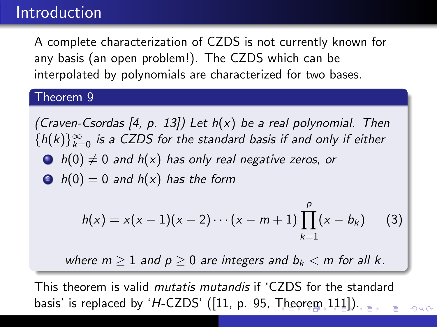### <span id="page-9-0"></span>Introduction

A complete characterization of CZDS is not currently known for any basis (an open problem!). The CZDS which can be interpolated by polynomials are characterized for two bases.

#### Theorem 9

<span id="page-9-1"></span>(Craven-Csordas [\[4,](#page-43-0) p. 13]) Let  $h(x)$  be a real polynomial. Then  ${h(k)}_{k=0}^{\infty}$  is a CZDS for the standard basis if and only if either  $\bullet$  h(0)  $\neq$  0 and h(x) has only real negative zeros, or  $\bullet$  h(0) = 0 and h(x) has the form

$$
h(x) = x(x-1)(x-2)\cdots(x-m+1)\prod_{k=1}^{p}(x-b_k)
$$
 (3)

where  $m > 1$  and  $p > 0$  are integers and  $b_k < m$  for all k.

This theorem is valid mutatis mutandis if 'CZDS for the standard basis' is [re](#page-8-0)placedby 'H-CZDS'  $([11, p. 95,$  $([11, p. 95,$  $([11, p. 95,$  $([11, p. 95,$  $([11, p. 95,$  [Th](#page-8-0)[eo](#page-10-0)re[m](#page-9-0)  $[111])$  $[111])$  $[111])$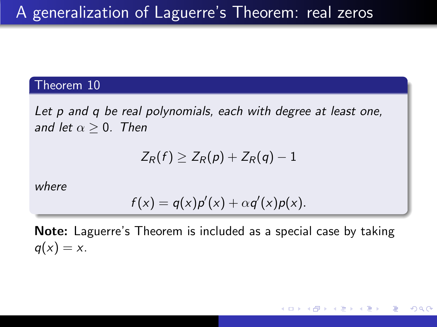#### <span id="page-10-0"></span>Theorem 10

<span id="page-10-1"></span>Let p and q be real polynomials, each with degree at least one, and let  $\alpha > 0$ . Then

$$
Z_R(f) \geq Z_R(\rho) + Z_R(q) - 1
$$

where

$$
f(x) = q(x)p'(x) + \alpha q'(x)p(x).
$$

Note: Laguerre's Theorem is included as a special case by taking  $q(x) = x$ .

 $200$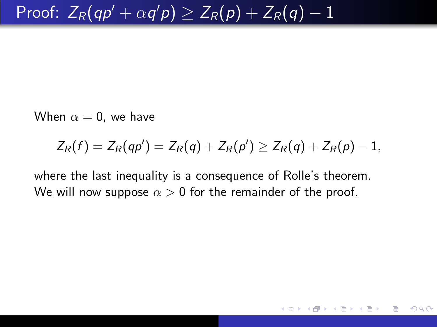When  $\alpha = 0$ , we have

$$
Z_R(f) = Z_R(qp') = Z_R(q) + Z_R(p') \ge Z_R(q) + Z_R(p) - 1,
$$

つくい

where the last inequality is a consequence of Rolle's theorem. We will now suppose  $\alpha > 0$  for the remainder of the proof.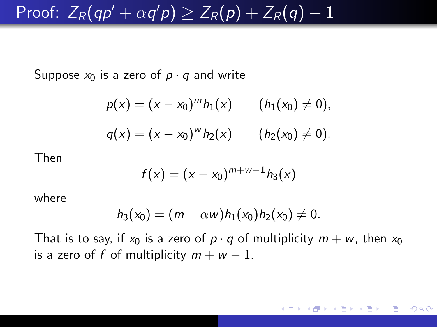# Proof:  $Z_R(q\rho'+\alpha q'\rho)\geq Z_R(\rho)+Z_R(q)-1$

Suppose  $x_0$  is a zero of  $p \cdot q$  and write

$$
\rho(x) = (x - x_0)^m h_1(x) \qquad (h_1(x_0) \neq 0),
$$
  
 
$$
q(x) = (x - x_0)^m h_2(x) \qquad (h_2(x_0) \neq 0).
$$

Then

$$
f(x) = (x - x_0)^{m+w-1} h_3(x)
$$

where

$$
h_3(x_0)=(m+\alpha w)h_1(x_0)h_2(x_0)\neq 0.
$$

That is to say, if  $x_0$  is a zero of  $p \cdot q$  of multiplicity  $m + w$ , then  $x_0$ is a zero of f of multiplicity  $m + w - 1$ .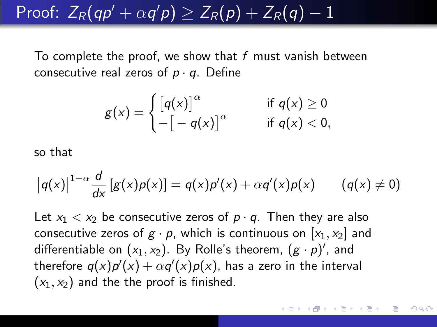# Proof:  $Z_R(q\rho'+\alpha q'\rho)\geq Z_R(\rho)+Z_R(q)-1$

To complete the proof, we show that  $f$  must vanish between consecutive real zeros of  $p \cdot q$ . Define

$$
g(x) = \begin{cases} \left[q(x)\right]^{\alpha} & \text{if } q(x) \geq 0\\ -\left[-q(x)\right]^{\alpha} & \text{if } q(x) < 0, \end{cases}
$$

so that

$$
|q(x)|^{1-\alpha}\frac{d}{dx}[g(x)p(x)] = q(x)p'(x) + \alpha q'(x)p(x) \qquad (q(x) \neq 0)
$$

Let  $x_1 < x_2$  be consecutive zeros of  $p \cdot q$ . Then they are also consecutive zeros of  $g \cdot p$ , which is continuous on  $[x_1, x_2]$  and differentiable on  $(x_1, x_2)$ . By Rolle's theorem,  $(g \cdot p)'$ , and therefore  $q(x)p'(x)+\alpha q'(x)p(x)$ , has a zero in the interval  $(x_1, x_2)$  and the the proof is finished.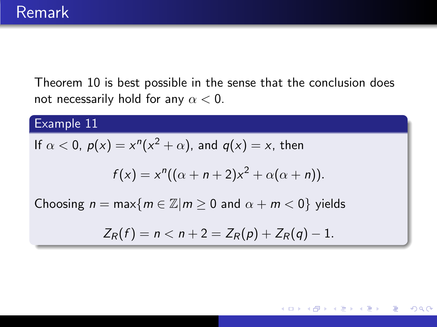Theorem [10](#page-10-1) is best possible in the sense that the conclusion does not necessarily hold for any  $\alpha < 0$ .

#### Example 11

If 
$$
\alpha
$$
 < 0,  $p(x) = x^n(x^2 + \alpha)$ , and  $q(x) = x$ , then

$$
f(x) = xn((\alpha + n + 2)x2 + \alpha(\alpha + n)).
$$

Choosing  $n = \max\{m \in \mathbb{Z} | m \geq 0 \text{ and } \alpha + m < 0\}$  yields

$$
Z_R(f) = n < n + 2 = Z_R(p) + Z_R(q) - 1.
$$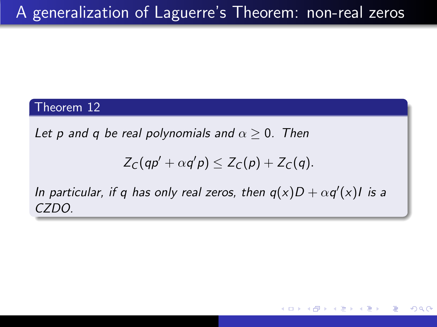#### Theorem 12

<span id="page-15-0"></span>Let p and q be real polynomials and  $\alpha \geq 0$ . Then

$$
Z_C(qp' + \alpha q'p) \leq Z_C(p) + Z_C(q).
$$

In particular, if q has only real zeros, then  $q(x)D + \alpha q'(x)I$  is a CZDO.

 $200$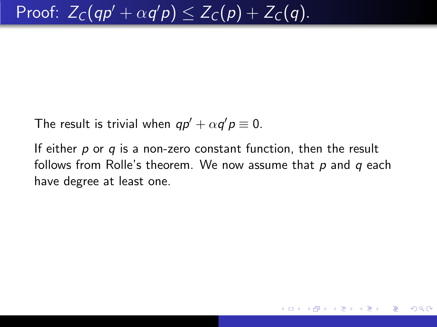<span id="page-16-0"></span>The result is trivial when  $q p' + \alpha q' p \equiv 0$ .

If either  $p$  or  $q$  is a non-zero constant function, then the result follows from Rolle's theorem. We now assume that  $p$  and  $q$  each have degree at least one.

 $200$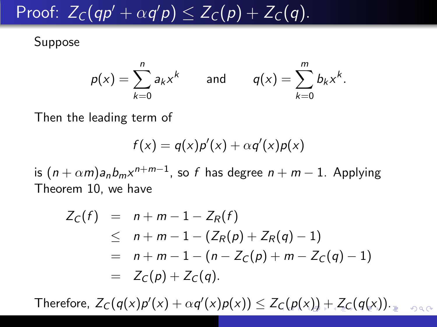# <span id="page-17-0"></span>Proof:  $Z_{\mathcal{C}}(qp' + \alpha q'p) \leq Z_{\mathcal{C}}(p) + Z_{\mathcal{C}}(q).$

Suppose

$$
p(x) = \sum_{k=0}^n a_k x^k
$$
 and 
$$
q(x) = \sum_{k=0}^m b_k x^k.
$$

Then the leading term of

$$
f(x) = q(x)p'(x) + \alpha q'(x)p(x)
$$

is  $(n + \alpha m)a_n b_m x^{n+m-1}$ , so  $f$  has degree  $n + m - 1$ . Applying Theorem [10,](#page-10-1) we have

$$
Z_C(f) = n + m - 1 - Z_R(f)
$$
  
\n
$$
\leq n + m - 1 - (Z_R(p) + Z_R(q) - 1)
$$
  
\n
$$
= n + m - 1 - (n - Z_C(p) + m - Z_C(q) - 1)
$$
  
\n
$$
= Z_C(p) + Z_C(q).
$$

Therefore,  $Z_C(q(x)p'(x) + \alpha q'(x)p(x)) \le Z_C(p(x)) + Z_C(q(x))$  $Z_C(q(x)p'(x) + \alpha q'(x)p(x)) \le Z_C(p(x)) + Z_C(q(x))$  $Z_C(q(x)p'(x) + \alpha q'(x)p(x)) \le Z_C(p(x)) + Z_C(q(x))$  $Z_C(q(x)p'(x) + \alpha q'(x)p(x)) \le Z_C(p(x)) + Z_C(q(x))$  $Z_C(q(x)p'(x) + \alpha q'(x)p(x)) \le Z_C(p(x)) + Z_C(q(x))$  $Z_C(q(x)p'(x) + \alpha q'(x)p(x)) \le Z_C(p(x)) + Z_C(q(x))$  $Z_C(q(x)p'(x) + \alpha q'(x)p(x)) \le Z_C(p(x)) + Z_C(q(x))$  $Z_C(q(x)p'(x) + \alpha q'(x)p(x)) \le Z_C(p(x)) + Z_C(q(x))$  $Z_C(q(x)p'(x) + \alpha q'(x)p(x)) \le Z_C(p(x)) + Z_C(q(x))$  $Z_C(q(x)p'(x) + \alpha q'(x)p(x)) \le Z_C(p(x)) + Z_C(q(x))$  $Z_C(q(x)p'(x) + \alpha q'(x)p(x)) \le Z_C(p(x)) + Z_C(q(x))$  $Z_C(q(x)p'(x) + \alpha q'(x)p(x)) \le Z_C(p(x)) + Z_C(q(x))$  $Z_C(q(x)p'(x) + \alpha q'(x)p(x)) \le Z_C(p(x)) + Z_C(q(x))$  $Z_C(q(x)p'(x) + \alpha q'(x)p(x)) \le Z_C(p(x)) + Z_C(q(x))$  $Z_C(q(x)p'(x) + \alpha q'(x)p(x)) \le Z_C(p(x)) + Z_C(q(x))$  $Z_C(q(x)p'(x) + \alpha q'(x)p(x)) \le Z_C(p(x)) + Z_C(q(x))$ .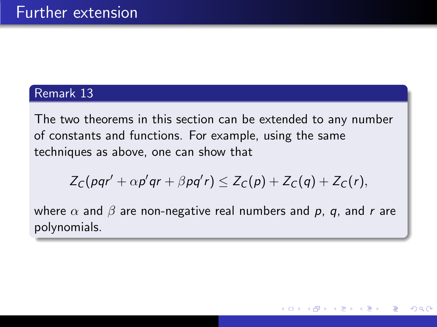#### <span id="page-18-0"></span>Remark 13

<span id="page-18-1"></span>The two theorems in this section can be extended to any number of constants and functions. For example, using the same techniques as above, one can show that

$$
Z_C(pqr' + \alpha p'qr + \beta pq'r) \leq Z_C(p) + Z_C(q) + Z_C(r),
$$

where  $\alpha$  and  $\beta$  are non-negative real numbers and p, q, and r are polynomials.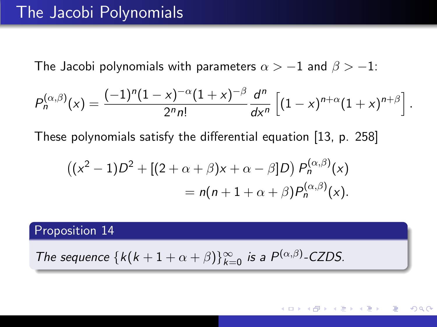The Jacobi polynomials with parameters  $\alpha > -1$  and  $\beta > -1$ :

$$
P_n^{(\alpha,\beta)}(x) = \frac{(-1)^n (1-x)^{-\alpha} (1+x)^{-\beta}}{2^n n!} \frac{d^n}{dx^n} \left[ (1-x)^{n+\alpha} (1+x)^{n+\beta} \right]
$$

These polynomials satisfy the differential equation [\[13,](#page-45-2) p. 258]

$$
((x2 - 1)D2 + [(2 + \alpha + \beta)x + \alpha - \beta]D) Pn(\alpha,\beta)(x)
$$
  
=  $n(n + 1 + \alpha + \beta)Pn(\alpha,\beta)(x).$ 

Proposition 14

The sequence  ${k(k + 1 + \alpha + \beta)}_{k=0}^{\infty}$  is a  $P^{(\alpha,\beta)}$ -CZDS.

.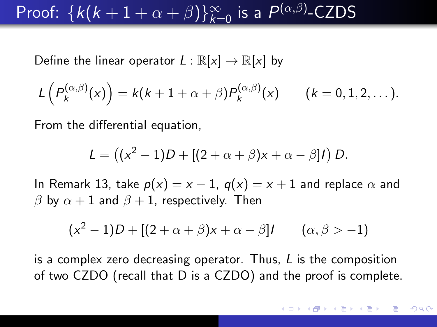# Proof:  $\{k(k+1+\alpha+\beta)\}_{k=0}^{\infty}$  is a  $P^{(\alpha,\beta)}$ -CZDS

Define the linear operator  $L : \mathbb{R}[x] \to \mathbb{R}[x]$  by

$$
L\left(P_k^{(\alpha,\beta)}(x)\right)=k(k+1+\alpha+\beta)P_k^{(\alpha,\beta)}(x) \qquad (k=0,1,2,\dots).
$$

From the differential equation,

$$
L = ((x2 - 1)D + [(2 + \alpha + \beta)x + \alpha - \beta]I) D.
$$

In Remark [13,](#page-18-1) take  $p(x) = x - 1$ ,  $q(x) = x + 1$  and replace  $\alpha$  and β by  $\alpha + 1$  and  $\beta + 1$ , respectively. Then

$$
(x2 - 1)D + [(2 + \alpha + \beta)x + \alpha - \beta]I \qquad (\alpha, \beta > -1)
$$

is a complex zero decreasing operator. Thus, L is the composition of two CZDO (recall that D is a CZDO) and the proof is complete.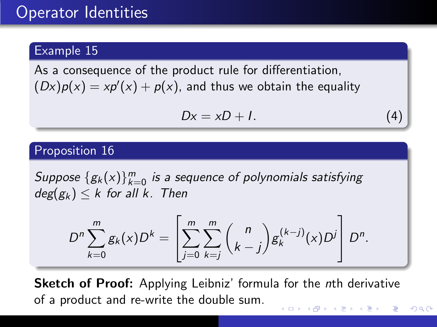### Operator Identities

#### Example 15

As a consequence of the product rule for differentiation,  $(Dx)p(x) = xp'(x) + p(x)$ , and thus we obtain the equality

$$
Dx = xD + I. \tag{4}
$$

#### Proposition 16

<span id="page-21-0"></span>Suppose  $\{g_k(x)\}_{k=0}^m$  is a sequence of polynomials satisfying  $deg(g_k) \leq k$  for all k. Then

$$
D^{n} \sum_{k=0}^{m} g_{k}(x) D^{k} = \left[ \sum_{j=0}^{m} \sum_{k=j}^{m} {n \choose k-j} g_{k}^{(k-j)}(x) D^{j} \right] D^{n}.
$$

**Sketch of Proof:** Applying Leibniz' formula for the nth derivative of a product and re-write the double sum.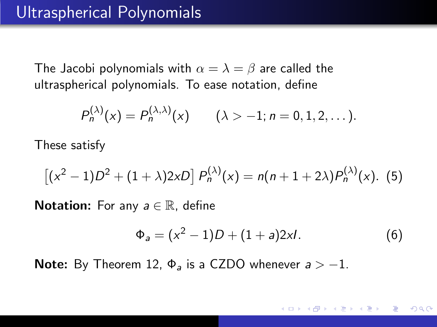The Jacobi polynomials with  $\alpha = \lambda = \beta$  are called the ultraspherical polynomials. To ease notation, define

$$
P_n^{(\lambda)}(x) = P_n^{(\lambda,\lambda)}(x) \qquad (\lambda > -1; n = 0, 1, 2, \dots).
$$

These satisfy

$$
[(x^{2}-1)D^{2}+(1+\lambda)2xD]P_{n}^{(\lambda)}(x)=n(n+1+2\lambda)P_{n}^{(\lambda)}(x).
$$
 (5)

**Notation:** For any  $a \in \mathbb{R}$ , define

<span id="page-22-0"></span>
$$
\Phi_a = (x^2 - 1)D + (1 + a)2xI. \tag{6}
$$

**Note:** By Theorem [12,](#page-15-0)  $\Phi_{\alpha}$  is a CZDO whenever  $a > -1$ .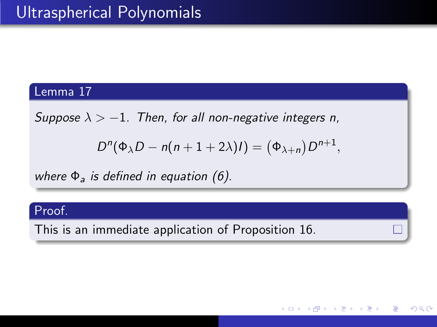#### Lemma 17

<span id="page-23-0"></span>Suppose  $\lambda > -1$ . Then, for all non-negative integers n,

$$
D^{n}(\Phi_{\lambda}D-n(n+1+2\lambda)I)=(\Phi_{\lambda+n})D^{n+1},
$$

つくへ

where  $\Phi_{\alpha}$  is defined in equation [\(6\)](#page-22-0).

#### Proof.

This is an immediate application of Proposition [16.](#page-21-0)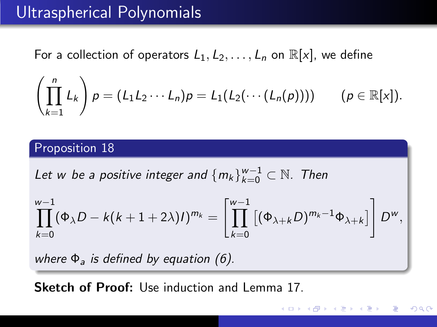### Ultraspherical Polynomials

For a collection of operators  $L_1, L_2, \ldots, L_n$  on  $\mathbb{R}[x]$ , we define

$$
\left(\prod_{k=1}^n L_k\right)\rho = (L_1L_2\cdots L_n)\rho = L_1(L_2(\cdots (L_n(\rho)))) \qquad (\rho \in \mathbb{R}[x]).
$$

#### Proposition 18

Let w be a positive integer and  $\left\{m_k\right\}_{k=0}^{w-1}\subset\mathbb{N}.$  Then

$$
\prod_{k=0}^{w-1}(\Phi_{\lambda}D-k(k+1+2\lambda)I)^{m_k}=\left[\prod_{k=0}^{w-1}\left[(\Phi_{\lambda+k}D)^{m_k-1}\Phi_{\lambda+k}\right]\right]D^w,
$$

つくい

where  $\Phi_a$  is defined by equation [\(6\)](#page-22-0).

Sketch of Proof: Use induction and Lemma [17.](#page-23-0)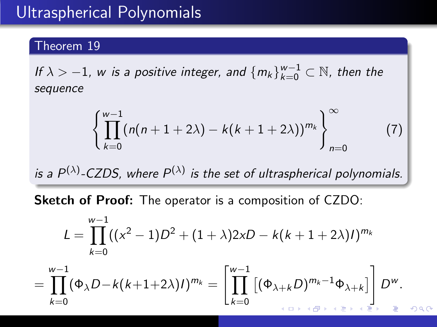## Ultraspherical Polynomials

#### Theorem 19

<span id="page-25-0"></span>If  $\lambda > -1$ , w is a positive integer, and  $\{m_k\}_{k=0}^{w-1} \subset \mathbb{N}$ , then the sequence

$$
\left\{\prod_{k=0}^{w-1}(n(n+1+2\lambda)-k(k+1+2\lambda))^{m_k}\right\}_{n=0}^{\infty} \tag{7}
$$

is a  $P^{(\lambda)}$ -CZDS, where  $P^{(\lambda)}$  is the set of ultraspherical polynomials.

Sketch of Proof: The operator is a composition of CZDO:

$$
L = \prod_{k=0}^{w-1} ((x^2 - 1)D^2 + (1 + \lambda)2xD - k(k + 1 + 2\lambda)l)^{m_k}
$$

$$
=\prod_{k=0}^{w-1}(\Phi_{\lambda}D-k(k+1+2\lambda)I)^{m_k}=\left[\prod_{k=0}^{w-1}\left[(\Phi_{\lambda+k}D)^{m_k-1}\Phi_{\lambda+k}\right]\right]D^w.
$$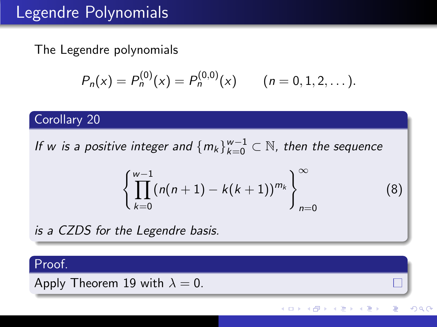## Legendre Polynomials

The Legendre polynomials

$$
P_n(x) = P_n^{(0)}(x) = P_n^{(0,0)}(x) \qquad (n = 0, 1, 2, ...).
$$

#### Corollary 20

If w is a positive integer and  $\{m_k\}_{k=0}^{w-1}\subset \mathbb{N}$ , then the sequence

$$
\left\{\prod_{k=0}^{w-1}(n(n+1)-k(k+1))^{m_k}\right\}_{n=0}^{\infty} (8)
$$

∢⊡

 $200$ 

is a CZDS for the Legendre basis.

#### Proof.

Apply Theorem [19](#page-25-0) with  $\lambda = 0$ .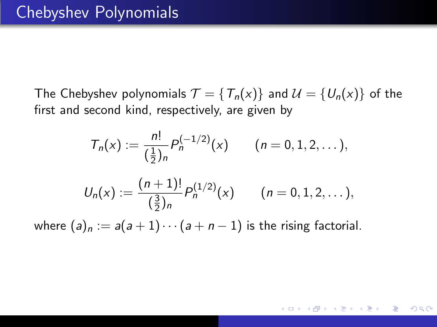The Chebyshev polynomials  $\mathcal{T} = \{T_n(x)\}\$ and  $\mathcal{U} = \{U_n(x)\}\$ of the first and second kind, respectively, are given by

$$
T_n(x) := \frac{n!}{(\frac{1}{2})_n} P_n^{(-1/2)}(x) \qquad (n = 0, 1, 2, ...),
$$
  

$$
U_n(x) := \frac{(n+1)!}{(\frac{3}{2})_n} P_n^{(1/2)}(x) \qquad (n = 0, 1, 2, ...),
$$

where  $(a)_n := a(a+1)\cdots(a+n-1)$  is the rising factorial.

 $200$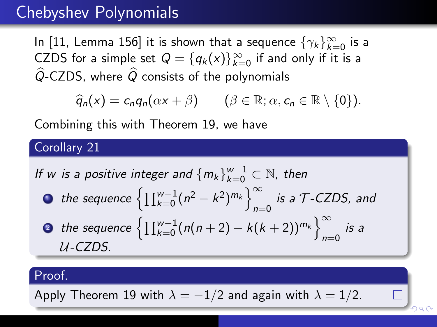### Chebyshev Polynomials

In [\[11,](#page-45-1) Lemma 156] it is shown that a sequence  $\{\gamma_k\}_{k=0}^\infty$  is a CZDS for a simple set  $Q = \{q_k(x)\}_{k=0}^{\infty}$  if and only if it is a  $\widehat{Q}$ -CZDS, where  $\widehat{Q}$  consists of the polynomials

$$
\widehat{q}_n(x) = c_n q_n(\alpha x + \beta) \qquad (\beta \in \mathbb{R}; \alpha, c_n \in \mathbb{R} \setminus \{0\}).
$$

Combining this with Theorem [19,](#page-25-0) we have

Corollary 21

<span id="page-28-0"></span>If w is a positive integer and 
$$
\{m_k\}_{k=0}^{w-1} \subset \mathbb{N}
$$
, then  
\n• the sequence  $\left\{\prod_{k=0}^{w-1} (n^2 - k^2)^{m_k}\right\}_{n=0}^{\infty}$  is a *T*-CZDS, and  
\n• the sequence  $\left\{\prod_{k=0}^{w-1} (n(n+2) - k(k+2))^{m_k}\right\}_{n=0}^{\infty}$  is a  
\n*U*-CZDS.

#### Proof.

Apply Theorem 19 with 
$$
\lambda = -1/2
$$
 and again with  $\lambda = 1/2$ .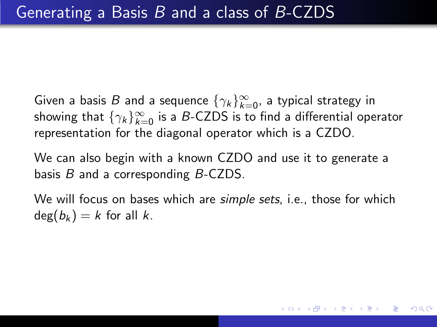Given a basis  $B$  and a sequence  $\{\gamma_k\}_{k=0}^\infty$ , a typical strategy in showing that  $\{\gamma_k\}_{k=0}^\infty$  is a  $B\text{-CZDS}$  is to find a differential operator representation for the diagonal operator which is a CZDO.

We can also begin with a known CZDO and use it to generate a basis  $B$  and a corresponding  $B$ -CZDS.

We will focus on bases which are *simple sets*, *i.e.*, those for which  $deg(b_k) = k$  for all k.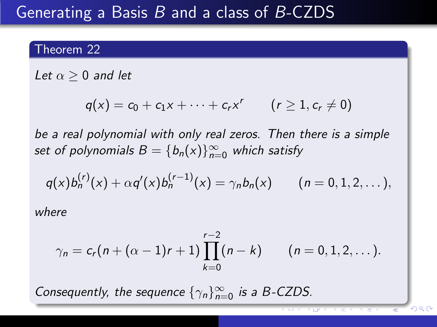## Generating a Basis B and a class of B-CZDS

#### Theorem 22

Let  $\alpha > 0$  and let

$$
q(x) = c_0 + c_1 x + \cdots + c_r x^r \qquad (r \geq 1, c_r \neq 0)
$$

be a real polynomial with only real zeros. Then there is a simple set of polynomials  $B = \{b_n(x)\}_{n=0}^{\infty}$  which satisfy

$$
q(x)b_n^{(r)}(x) + \alpha q'(x)b_n^{(r-1)}(x) = \gamma_n b_n(x) \qquad (n = 0, 1, 2, ...),
$$

where

$$
\gamma_n = c_r(n + (\alpha - 1)r + 1) \prod_{k=0}^{r-2} (n - k) \qquad (n = 0, 1, 2, ...).
$$

 $299$ 

Consequently, the sequence  $\{\gamma_n\}_{n=0}^{\infty}$  is a B-CZDS.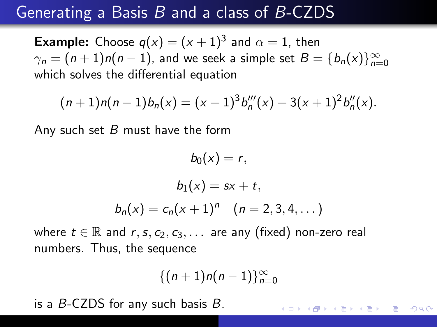## Generating a Basis B and a class of B-CZDS

**Example:** Choose  $q(x) = (x + 1)^3$  and  $\alpha = 1$ , then  $\gamma_n = (n+1)n(n-1)$ , and we seek a simple set  $B = \{b_n(x)\}_{n=0}^\infty$ which solves the differential equation

$$
(n+1)n(n-1)b_n(x) = (x+1)^3b_n'''(x) + 3(x+1)^2b_n''(x).
$$

Any such set  $B$  must have the form

$$
b_0(x) = r,
$$
  
\n
$$
b_1(x) = sx + t,
$$
  
\n
$$
b_n(x) = c_n(x+1)^n \quad (n = 2, 3, 4, ...)
$$

where  $t \in \mathbb{R}$  and  $r, s, c_2, c_3, \ldots$  are any (fixed) non-zero real numbers. Thus, the sequence

$$
\{(n+1)n(n-1)\}_{n=0}^\infty
$$

 $200$ 

is a B-CZDS for any such basis B.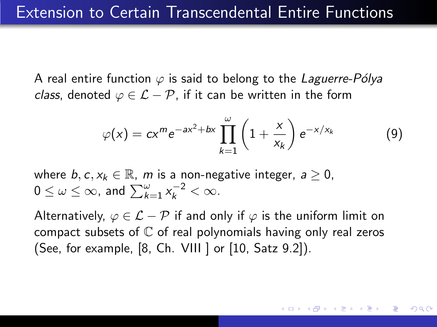A real entire function  $\varphi$  is said to belong to the Laguerre-Pólya class, denoted  $\varphi \in \mathcal{L} - \mathcal{P}$ , if it can be written in the form

$$
\varphi(x) = cx^m e^{-ax^2 + bx} \prod_{k=1}^{\omega} \left(1 + \frac{x}{x_k}\right) e^{-x/x_k}
$$
(9)

where  $b, c, x_k \in \mathbb{R}$ , m is a non-negative integer,  $a > 0$ ,  $0 \leq \omega \leq \infty$ , and  $\sum_{k=1}^{\omega} x_k^{-2} < \infty$ .

Alternatively,  $\varphi \in \mathcal{L} - \mathcal{P}$  if and only if  $\varphi$  is the uniform limit on compact subsets of  $\mathbb C$  of real polynomials having only real zeros (See, for example, [\[8,](#page-44-1) Ch. VIII ] or [\[10,](#page-45-0) Satz 9.2]).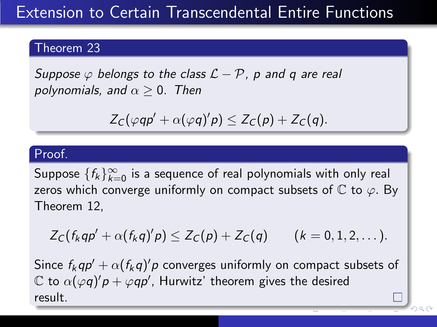# Extension to Certain Transcendental Entire Functions

#### Theorem 23

<span id="page-33-0"></span>Suppose  $\varphi$  belongs to the class  $\mathcal{L} - \mathcal{P}$ , p and q are real polynomials, and  $\alpha \geq 0$ . Then

$$
Z_C(\varphi qp' + \alpha(\varphi q)'p) \leq Z_C(p) + Z_C(q).
$$

#### Proof.

Suppose  $\{f_k\}_{k=0}^\infty$  is a sequence of real polynomials with only real zeros which converge uniformly on compact subsets of  $\mathbb C$  to  $\varphi$ . By Theorem [12,](#page-15-0)

$$
Z_C(f_kqp'+\alpha(f_kq)'p)\leq Z_C(p)+Z_C(q) \qquad (k=0,1,2,\dots).
$$

Since  $f_k q p' + \alpha (f_k q)' p$  converges uniformly on compact subsets of  $\mathbb C$  to  $\alpha(\varphi q)'p+\varphi q p'$ , Hurwitz' theorem gives the desired result.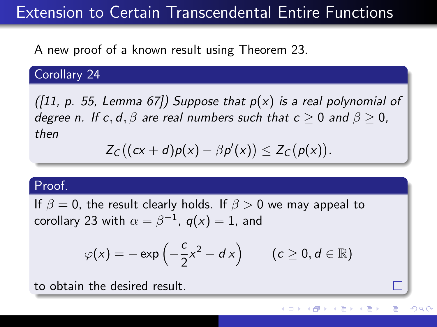# Extension to Certain Transcendental Entire Functions

A new proof of a known result using Theorem [23.](#page-33-0)

Corollary 24

([\[11,](#page-45-1) p. 55, Lemma 67]) Suppose that  $p(x)$  is a real polynomial of degree n. If c, d,  $\beta$  are real numbers such that  $c > 0$  and  $\beta > 0$ . then

$$
Z_C((cx+d)p(x)-\beta p'(x))\leq Z_C(p(x)).
$$

#### Proof.

If  $\beta = 0$ , the result clearly holds. If  $\beta > 0$  we may appeal to corollary [23](#page-33-0) with  $\alpha=\beta^{-1}$ ,  $\mathit{q}(x)=1$ , and

$$
\varphi(x) = -\exp\left(-\frac{c}{2}x^2 - d x\right) \qquad (c \ge 0, d \in \mathbb{R})
$$

つくい

to obtain the desired result.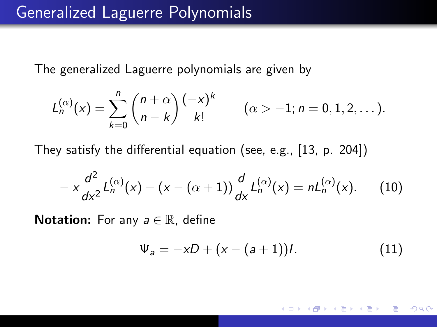The generalized Laguerre polynomials are given by

$$
L_n^{(\alpha)}(x) = \sum_{k=0}^n \binom{n+\alpha}{n-k} \frac{(-x)^k}{k!} \qquad (\alpha > -1; n = 0, 1, 2, \dots).
$$

They satisfy the differential equation (see, e.g., [\[13,](#page-45-2) p. 204])

$$
-x\frac{d^2}{dx^2}L_n^{(\alpha)}(x) + (x - (\alpha + 1))\frac{d}{dx}L_n^{(\alpha)}(x) = nL_n^{(\alpha)}(x). \tag{10}
$$

**Notation:** For any  $a \in \mathbb{R}$ , define

<span id="page-35-0"></span>
$$
\Psi_a = -xD + (x - (a+1))l. \tag{11}
$$

つくい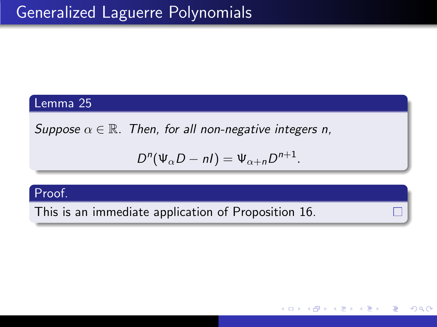#### Lemma 25

<span id="page-36-0"></span>Suppose  $\alpha \in \mathbb{R}$ . Then, for all non-negative integers n,

$$
D^{n}(\Psi_{\alpha}D-nI)=\Psi_{\alpha+n}D^{n+1}.
$$

つくい

#### Proof.

This is an immediate application of Proposition [16.](#page-21-0)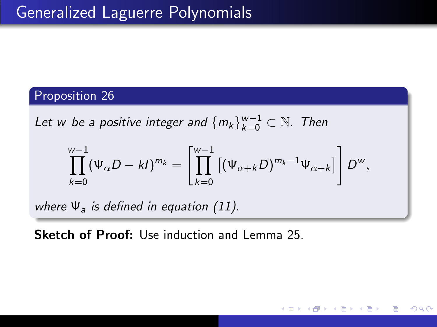#### Proposition 26

Let w be a positive integer and  $\{m_k\}_{k=0}^{w-1}\subset \mathbb{N}$ . Then

$$
\prod_{k=0}^{w-1} (\Psi_{\alpha}D - kI)^{m_k} = \left[ \prod_{k=0}^{w-1} \left[ (\Psi_{\alpha+k}D)^{m_k-1} \Psi_{\alpha+k} \right] \right] D^w,
$$

つくい

where  $\Psi_a$  is defined in equation [\(11\)](#page-35-0).

Sketch of Proof: Use induction and Lemma 25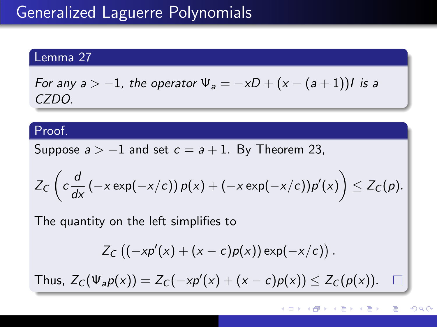#### Lemma 27

For any  $a > -1$ , the operator  $\Psi_a = -xD + (x - (a + 1))I$  is a CZDO.

#### Proof.

Suppose  $a > -1$  and set  $c = a + 1$ . By Theorem [23,](#page-33-0)

$$
Z_C\left(c\frac{d}{dx}\left(-x\exp(-x/c)\right)p(x)+\left(-x\exp(-x/c)\right)p'(x)\right)\leq Z_C(p).
$$

The quantity on the left simplifies to

$$
Z_C ((-x p'(x) + (x - c) p(x)) \exp(-x/c)).
$$

Thus,  $Z_C(\Psi_a p(x)) = Z_C(-x p'(x) + (x - c) p(x)) \le Z_C(p(x)).$  $\Box$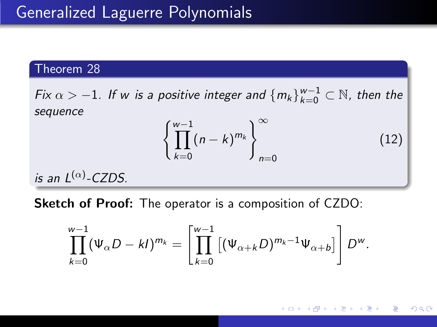#### Theorem 28

Fix  $\alpha > -1$ . If w is a positive integer and  $\{m_k\}_{k=0}^{w-1} \subset \mathbb{N}$ , then the sequence

$$
\left\{\prod_{k=0}^{w-1}(n-k)^{m_k}\right\}_{n=0}^{\infty} \tag{12}
$$

is an  $L^{(\alpha)}$ -CZDS.

Sketch of Proof: The operator is a composition of CZDO:

$$
\prod_{k=0}^{w-1} (\Psi_{\alpha}D - kI)^{m_k} = \left[ \prod_{k=0}^{w-1} \left[ (\Psi_{\alpha+k}D)^{m_k-1} \Psi_{\alpha+b} \right] \right] D^w.
$$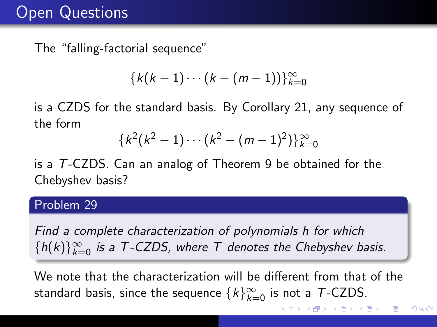# Open Questions

The "falling-factorial sequence"

$$
\{k(k-1)\cdots(k-(m-1))\}_{k=0}^{\infty}
$$

is a CZDS for the standard basis. By Corollary [21,](#page-28-0) any sequence of the form

$$
{k^2(k^2-1)\cdots(k^2-(m-1)^2)}_{k=0}
$$

is a T-CZDS. Can an analog of Theorem [9](#page-9-1) be obtained for the Chebyshev basis?

#### Problem 29

Find a complete characterization of polynomials h for which  ${h(k)}_{k=0}^{\infty}$  is a T-CZDS, where T denotes the Chebyshev basis.

We note that the characterization will be different from that of the standard basis, since the sequence  $\{k\}_{k=0}^{\infty}$  is not a  $\mathcal{T}\text{-CZDS}.$ 

 $QQ$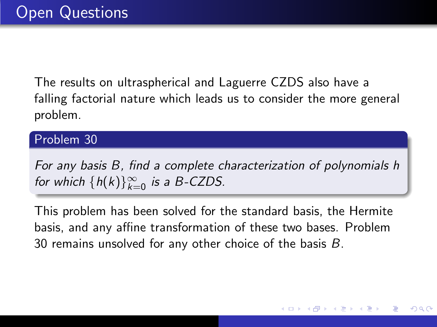The results on ultraspherical and Laguerre CZDS also have a falling factorial nature which leads us to consider the more general problem.

#### Problem 30

<span id="page-41-0"></span>For any basis B, find a complete characterization of polynomials h for which  $\{h(k)\}_{k=0}^{\infty}$  is a B-CZDS.

This problem has been solved for the standard basis, the Hermite basis, and any affine transformation of these two bases. Problem [30](#page-41-0) remains unsolved for any other choice of the basis B.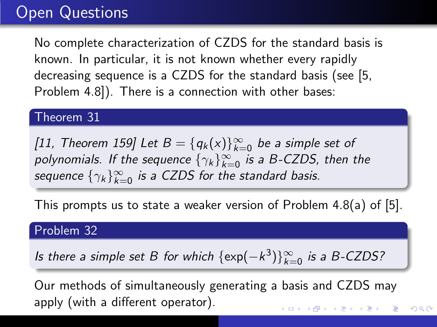# Open Questions

No complete characterization of CZDS for the standard basis is known. In particular, it is not known whether every rapidly decreasing sequence is a CZDS for the standard basis (see [\[5,](#page-44-0) Problem 4.8]). There is a connection with other bases:

#### Theorem 31

[\[11,](#page-45-1) Theorem 159] Let  $B = \{q_k(x)\}_{k=0}^{\infty}$  be a simple set of polynomials. If the sequence  $\{\gamma_k\}_{k=0}^\infty$  is a B-CZDS, then the sequence  $\{\gamma_k\}_{k=0}^{\infty}$  is a CZDS for the standard basis.

This prompts us to state a weaker version of Problem 4.8(a) of [\[5\]](#page-44-0).

#### Problem 32

Is there a simple set B for which  $\{\exp(-k^3)\}_{k=0}^{\infty}$  is a B-CZDS?

Our methods of simultaneously generating a basis and CZDS may apply (with a different operator).メロメ メ部メ メミメ メミメ

 $QQ$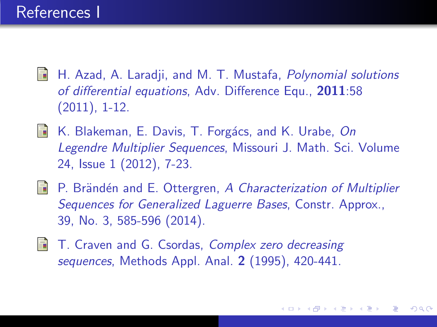- 暈 H. Azad, A. Laradji, and M. T. Mustafa, Polynomial solutions of differential equations, Adv. Difference Equ., 2011:58 (2011), 1-12.
- 螶 K. Blakeman, E. Davis, T. Forgács, and K. Urabe, On Legendre Multiplier Sequences, Missouri J. Math. Sci. Volume 24, Issue 1 (2012), 7-23.
- F. P. Brändén and E. Ottergren, A Characterization of Multiplier Sequences for Generalized Laguerre Bases, Constr. Approx., 39, No. 3, 585-596 (2014).
- <span id="page-43-0"></span>暈 T. Craven and G. Csordas, Complex zero decreasing sequences, Methods Appl. Anal. 2 (1995), 420-441.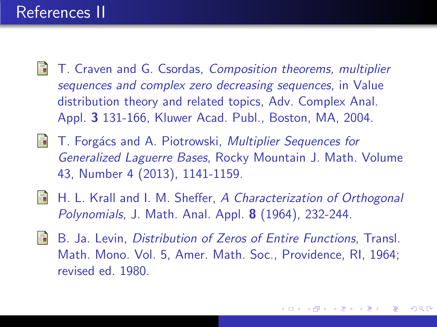### References II

- <span id="page-44-0"></span>F. T. Craven and G. Csordas, Composition theorems, multiplier sequences and complex zero decreasing sequences, in Value distribution theory and related topics, Adv. Complex Anal. Appl. 3 131-166, Kluwer Acad. Publ., Boston, MA, 2004.
- T. Forgács and A. Piotrowski, Multiplier Sequences for 螶 Generalized Laguerre Bases, Rocky Mountain J. Math. Volume 43, Number 4 (2013), 1141-1159.
- **同 H. L. Krall and I. M. Sheffer, A Characterization of Orthogonal** Polynomials, J. Math. Anal. Appl. 8 (1964), 232-244.
- <span id="page-44-1"></span>F. B. Ja. Levin, Distribution of Zeros of Entire Functions, Transl. Math. Mono. Vol. 5, Amer. Math. Soc., Providence, RI, 1964; revised ed. 1980.